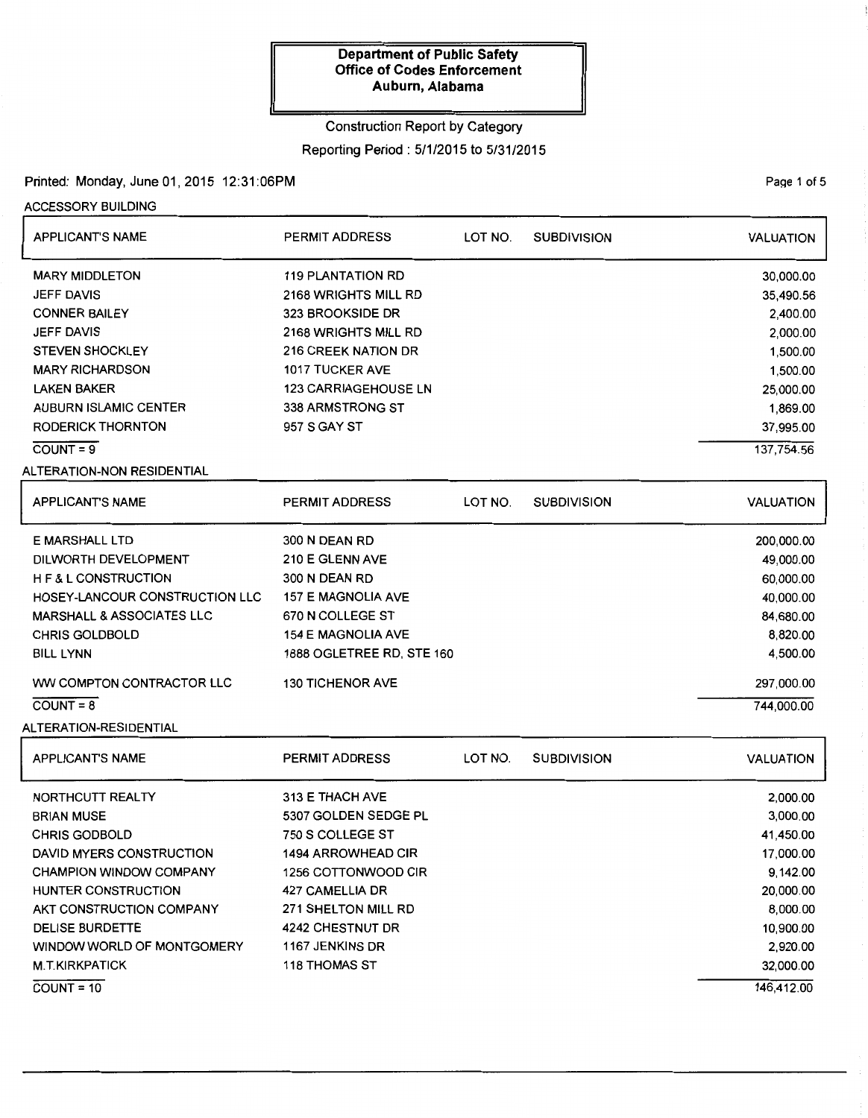# Construction Report by Category

## Reporting Period : 5/1/2015 to 5/31/2015

### Printed: Monday, June 01,2015 12:31:06PM

ACCESSORY BUILDING

| <b>APPLICANT'S NAME</b>        | <b>PERMIT ADDRESS</b>       | LOT NO. | <b>SUBDIVISION</b> | <b>VALUATION</b> |
|--------------------------------|-----------------------------|---------|--------------------|------------------|
| <b>MARY MIDDLETON</b>          | <b>119 PLANTATION RD</b>    |         |                    | 30,000.00        |
| <b>JEFF DAVIS</b>              | 2168 WRIGHTS MILL RD        |         |                    | 35,490.56        |
| <b>CONNER BAILEY</b>           | 323 BROOKSIDE DR            |         |                    | 2,400.00         |
| <b>JEFF DAVIS</b>              | 2168 WRIGHTS MILL RD        |         |                    | 2,000.00         |
| <b>STEVEN SHOCKLEY</b>         | <b>216 CREEK NATION DR</b>  |         |                    | 1,500.00         |
| <b>MARY RICHARDSON</b>         | <b>1017 TUCKER AVE</b>      |         |                    | 1,500.00         |
| <b>LAKEN BAKER</b>             | <b>123 CARRIAGEHOUSE LN</b> |         |                    | 25,000.00        |
| <b>AUBURN ISLAMIC CENTER</b>   | 338 ARMSTRONG ST            |         |                    | 1,869.00         |
| <b>RODERICK THORNTON</b>       | 957 S GAY ST                |         |                    | 37,995.00        |
| $COUNT = 9$                    |                             |         |                    | 137,754.56       |
| ALTERATION-NON RESIDENTIAL     |                             |         |                    |                  |
| <b>APPLICANT'S NAME</b>        | <b>PERMIT ADDRESS</b>       | LOT NO. | <b>SUBDIVISION</b> | <b>VALUATION</b> |
| <b>E MARSHALL LTD</b>          | 300 N DEAN RD               |         |                    | 200,000.00       |
| DILWORTH DEVELOPMENT           | 210 E GLENN AVE             |         |                    | 49,000.00        |
| H F & L CONSTRUCTION           | 300 N DEAN RD               |         |                    | 60,000.00        |
| HOSEY-LANCOUR CONSTRUCTION LLC | <b>157 E MAGNOLIA AVE</b>   |         |                    | 40,000.00        |
| MARSHALL & ASSOCIATES LLC      | 670 N COLLEGE ST            |         | 84,680.00          |                  |
| <b>CHRIS GOLDBOLD</b>          | <b>154 E MAGNOLIA AVE</b>   |         | 8,820.00           |                  |
| <b>BILL LYNN</b>               | 1888 OGLETREE RD, STE 160   |         |                    | 4,500.00         |
| WW COMPTON CONTRACTOR LLC      | 130 TICHENOR AVE            |         |                    | 297,000.00       |
| $COUNT = 8$                    |                             |         |                    | 744,000.00       |
| ALTERATION-RESIDENTIAL         |                             |         |                    |                  |
|                                |                             |         |                    |                  |
| <b>APPLICANT'S NAME</b>        | PERMIT ADDRESS              | LOT NO. | <b>SUBDIVISION</b> | <b>VALUATION</b> |
| NORTHCUTT REALTY               | 313 E THACH AVE             |         |                    | 2,000.00         |
| <b>BRIAN MUSE</b>              | 5307 GOLDEN SEDGE PL        |         |                    | 3,000.00         |
| <b>CHRIS GODBOLD</b>           | 750 S COLLEGE ST            |         |                    | 41,450.00        |
| DAVID MYERS CONSTRUCTION       | 1494 ARROWHEAD CIR          |         |                    | 17,000.00        |
| <b>CHAMPION WINDOW COMPANY</b> | 1256 COTTONWOOD CIR         |         |                    | 9,142.00         |
| HUNTER CONSTRUCTION            | 427 CAMELLIA DR             |         |                    | 20,000.00        |
| AKT CONSTRUCTION COMPANY       | 271 SHELTON MILL RD         |         |                    | 8,000.00         |
| <b>DELISE BURDETTE</b>         | 4242 CHESTNUT DR            |         |                    | 10,900.00        |
| WINDOW WORLD OF MONTGOMERY     | 1167 JENKINS DR             |         |                    | 2,920.00         |
| <b>M.T.KIRKPATICK</b>          | 118 THOMAS ST               |         |                    | 32,000.00        |

 $COUNT = 10$ 

PaQe 1 of 5

146,412.00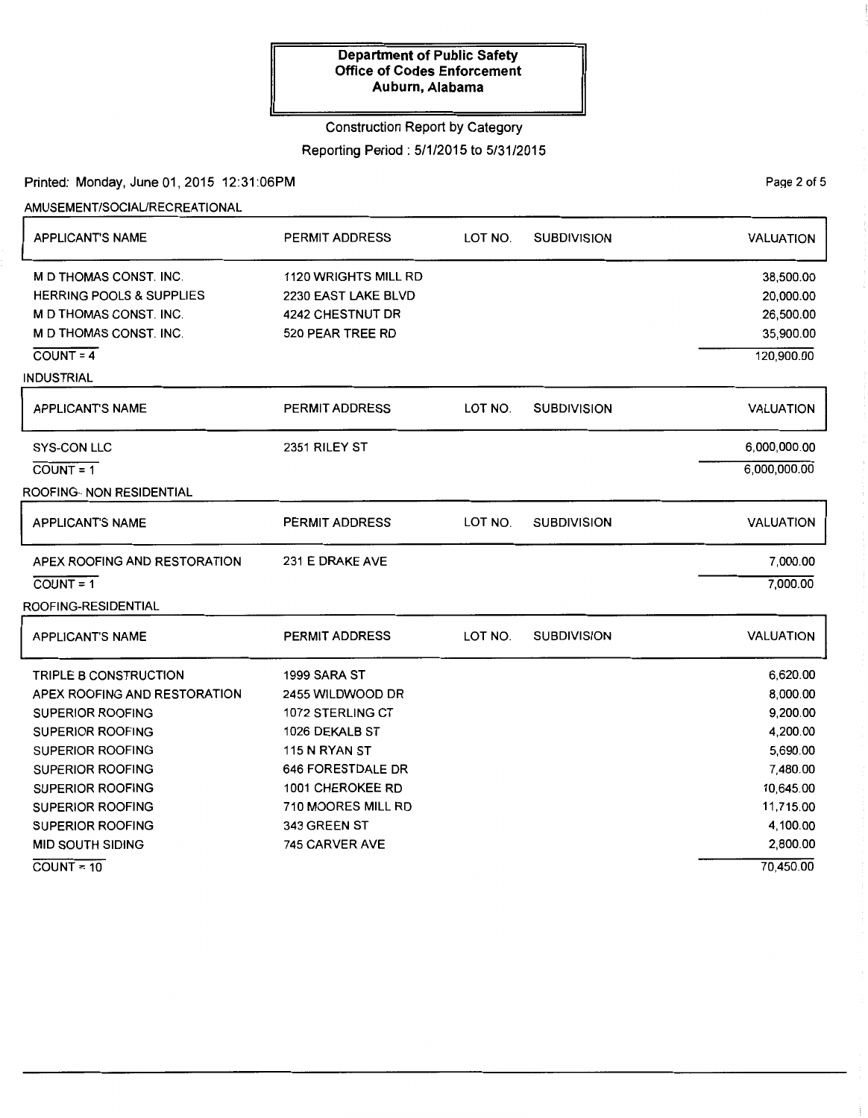## Construction Report by Category

## Reporting Period: 5/1/2015 to 5/31/2015

Printed: Monday, June 01,2015 12:31:06PM

AMUSEMENT/SOCIAURECREATIONAL

| <b>APPLICANT'S NAME</b>             | <b>PERMIT ADDRESS</b> | LOT NO. | <b>SUBDIVISION</b> | <b>VALUATION</b> |
|-------------------------------------|-----------------------|---------|--------------------|------------------|
| <b>M D THOMAS CONST. INC.</b>       | 1120 WRIGHTS MILL RD  |         |                    | 38,500.00        |
| <b>HERRING POOLS &amp; SUPPLIES</b> | 2230 EAST LAKE BLVD   |         |                    | 20,000.00        |
| M D THOMAS CONST. INC.              | 4242 CHESTNUT DR      |         |                    | 26,500.00        |
| M D THOMAS CONST. INC.              | 520 PEAR TREE RD      |         |                    | 35,900.00        |
| $COUNT = 4$                         |                       |         |                    | 120,900.00       |
| INDUSTRIAL                          |                       |         |                    |                  |
| <b>APPLICANT'S NAME</b>             | <b>PERMIT ADDRESS</b> | LOT NO. | <b>SUBDIVISION</b> | <b>VALUATION</b> |
| <b>SYS-CON LLC</b>                  | 2351 RILEY ST         |         |                    | 6,000,000.00     |
| $COUNT = 1$                         |                       |         |                    | 6,000,000.00     |
| ROOFING- NON RESIDENTIAL            |                       |         |                    |                  |
| <b>APPLICANT'S NAME</b>             | <b>PERMIT ADDRESS</b> | LOT NO. | <b>SUBDIVISION</b> | <b>VALUATION</b> |
| APEX ROOFING AND RESTORATION        | 231 E DRAKE AVE       |         |                    | 7,000.00         |
| $COUNT = 1$                         |                       |         |                    | 7,000.00         |
| ROOFING-RESIDENTIAL                 |                       |         |                    |                  |
| <b>APPLICANT'S NAME</b>             | <b>PERMIT ADDRESS</b> | LOT NO. | <b>SUBDIVISION</b> | <b>VALUATION</b> |
| <b>TRIPLE B CONSTRUCTION</b>        | 1999 SARA ST          |         |                    | 6,620.00         |
| APEX ROOFING AND RESTORATION        | 2455 WILDWOOD DR      |         |                    | 8,000.00         |
| SUPERIOR ROOFING                    | 1072 STERLING CT      |         |                    | 9,200.00         |
| <b>SUPERIOR ROOFING</b>             | 1026 DEKALB ST        |         |                    | 4,200.00         |
| <b>SUPERIOR ROOFING</b>             | 115 N RYAN ST         |         |                    | 5,690.00         |
| <b>SUPERIOR ROOFING</b>             | 646 FORESTDALE DR     |         |                    | 7,480.00         |
| <b>SUPERIOR ROOFING</b>             | 1001 CHEROKEE RD      |         |                    | 10,645.00        |
| <b>SUPERIOR ROOFING</b>             | 710 MOORES MILL RD    |         |                    | 11,715.00        |
| <b>SUPERIOR ROOFING</b>             | 343 GREEN ST          |         |                    | 4,100.00         |
| <b>MID SOUTH SIDING</b>             | 745 CARVER AVE        |         |                    | 2,800.00         |
| $COUNT = 10$                        |                       |         |                    | 70.450.00        |

PaQe 2 of 5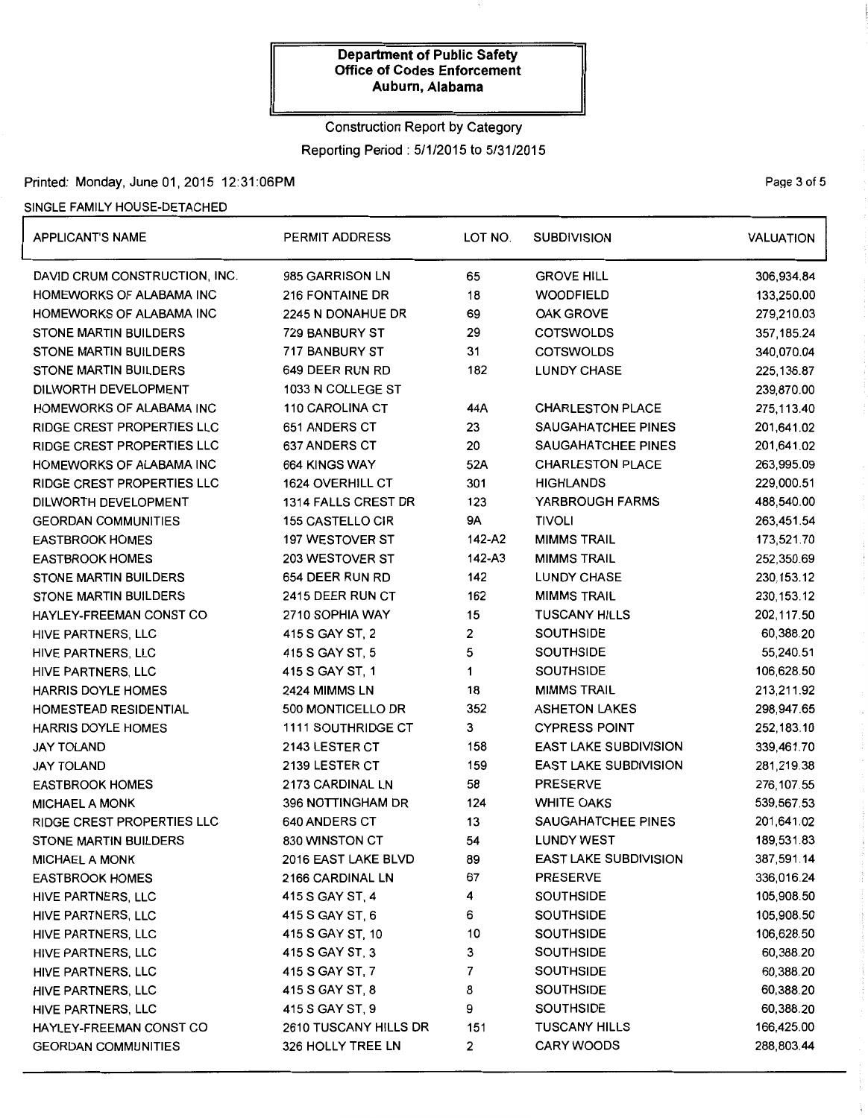# Construction Report by Category Reporting Period: 5/1/2015 to 5/31/2015

## Printed: Monday, June 01, 2015 12:31:06PM **Page 3 of 5** and 3 of 5

### SINGLE FAMILY HOUSE-DETACHED

| <b>APPLICANT'S NAME</b>       | <b>PERMIT ADDRESS</b>      | LOT NO.   | <b>SUBDIVISION</b>           | <b>VALUATION</b> |
|-------------------------------|----------------------------|-----------|------------------------------|------------------|
| DAVID CRUM CONSTRUCTION, INC. | 985 GARRISON LN            | 65        | <b>GROVE HILL</b>            | 306,934.84       |
| HOMEWORKS OF ALABAMA INC      | <b>216 FONTAINE DR</b>     | 18        | <b>WOODFIELD</b>             | 133,250.00       |
| HOMEWORKS OF ALABAMA INC      | 2245 N DONAHUE DR          | 69        | <b>OAK GROVE</b>             | 279,210.03       |
| STONE MARTIN BUILDERS         | 729 BANBURY ST             | 29        | <b>COTSWOLDS</b>             | 357,185.24       |
| STONE MARTIN BUILDERS         | 717 BANBURY ST             | 31        | <b>COTSWOLDS</b>             | 340,070.04       |
| STONE MARTIN BUILDERS         | 649 DEER RUN RD            | 182       | <b>LUNDY CHASE</b>           | 225, 136.87      |
| DILWORTH DEVELOPMENT          | 1033 N COLLEGE ST          |           |                              | 239,870.00       |
| HOMEWORKS OF ALABAMA INC      | 110 CAROLINA CT            | 44A       | <b>CHARLESTON PLACE</b>      | 275,113.40       |
| RIDGE CREST PROPERTIES LLC    | 651 ANDERS CT              | 23        | SAUGAHATCHEE PINES           | 201,641.02       |
| RIDGE CREST PROPERTIES LLC    | 637 ANDERS CT              | 20        | SAUGAHATCHEE PINES           | 201,641.02       |
| HOMEWORKS OF ALABAMA INC      | 664 KINGS WAY              | 52A       | <b>CHARLESTON PLACE</b>      | 263,995.09       |
| RIDGE CREST PROPERTIES LLC    | 1624 OVERHILL CT           | 301       | <b>HIGHLANDS</b>             | 229,000.51       |
| DILWORTH DEVELOPMENT          | <b>1314 FALLS CREST DR</b> | 123       | YARBROUGH FARMS              | 488,540.00       |
| <b>GEORDAN COMMUNITIES</b>    | 155 CASTELLO CIR           | <b>9A</b> | <b>TIVOLI</b>                | 263,451.54       |
| EASTBROOK HOMES               | 197 WESTOVER ST            | 142-A2    | <b>MIMMS TRAIL</b>           | 173,521.70       |
| <b>EASTBROOK HOMES</b>        | 203 WESTOVER ST            | 142-A3    | <b>MIMMS TRAIL</b>           | 252,350.69       |
| STONE MARTIN BUILDERS         | 654 DEER RUN RD            | 142       | <b>LUNDY CHASE</b>           | 230, 153.12      |
| STONE MARTIN BUILDERS         | 2415 DEER RUN CT           | 162       | <b>MIMMS TRAIL</b>           | 230, 153. 12     |
| HAYLEY-FREEMAN CONST CO       | 2710 SOPHIA WAY            | 15        | <b>TUSCANY HILLS</b>         | 202,117.50       |
| HIVE PARTNERS, LLC            | 415 S GAY ST, 2            | 2         | <b>SOUTHSIDE</b>             | 60,388.20        |
| HIVE PARTNERS, LLC            | 415 S GAY ST, 5            | 5         | <b>SOUTHSIDE</b>             | 55,240.51        |
| HIVE PARTNERS, LLC            | 415 S GAY ST, 1            | 1         | <b>SOUTHSIDE</b>             | 106,628.50       |
| HARRIS DOYLE HOMES            | 2424 MIMMS LN              | 18        | <b>MIMMS TRAIL</b>           | 213,211.92       |
| HOMESTEAD RESIDENTIAL         | 500 MONTICELLO DR          | 352       | <b>ASHETON LAKES</b>         | 298,947.65       |
| HARRIS DOYLE HOMES            | <b>1111 SOUTHRIDGE CT</b>  | 3         | <b>CYPRESS POINT</b>         | 252,183.10       |
| JAY TOLAND                    | 2143 LESTER CT             | 158       | <b>EAST LAKE SUBDIVISION</b> | 339,461.70       |
| JAY TOLAND                    | 2139 LESTER CT             | 159       | <b>EAST LAKE SUBDIVISION</b> | 281,219.38       |
| EASTBROOK HOMES               | 2173 CARDINAL LN           | 58        | <b>PRESERVE</b>              | 276, 107.55      |
| <b>MICHAEL A MONK</b>         | 396 NOTTINGHAM DR          | 124       | <b>WHITE OAKS</b>            | 539,567.53       |
| RIDGE CREST PROPERTIES LLC    | 640 ANDERS CT              | 13        | SAUGAHATCHEE PINES           | 201,641.02       |
| STONE MARTIN BUILDERS         | 830 WINSTON CT             | 54        | <b>LUNDY WEST</b>            | 189,531.83       |
| MICHAEL A MONK                | 2016 EAST LAKE BLVD        | 89        | EAST LAKE SUBDIVISION        | 387,591.14       |
| EASTBROOK HOMES               | 2166 CARDINAL LN           | 67        | <b>PRESERVE</b>              | 336,016.24       |
| HIVE PARTNERS, LLC            | 415 S GAY ST, 4            | 4         | <b>SOUTHSIDE</b>             | 105,908.50       |
| HIVE PARTNERS, LLC            | 415 S GAY ST, 6            | 6         | <b>SOUTHSIDE</b>             | 105,908.50       |
| HIVE PARTNERS, LLC            | 415 S GAY ST, 10           | 10        | <b>SOUTHSIDE</b>             | 106,628.50       |
| HIVE PARTNERS, LLC            | 415 S GAY ST, 3            | 3         | <b>SOUTHSIDE</b>             | 60,388.20        |
| HIVE PARTNERS, LLC            | 415 S GAY ST, 7            | 7         | <b>SOUTHSIDE</b>             | 60,388.20        |
| HIVE PARTNERS, LLC            | 415 S GAY ST, 8            | 8         | <b>SOUTHSIDE</b>             | 60,388.20        |
| HIVE PARTNERS, LLC            | 415 S GAY ST, 9            | 9         | <b>SOUTHSIDE</b>             | 60,388.20        |
| HAYLEY-FREEMAN CONST CO       | 2610 TUSCANY HILLS DR      | 151       | <b>TUSCANY HILLS</b>         | 166,425.00       |
| GEORDAN COMMUNITIES           | 326 HOLLY TREE LN          | 2         | <b>CARY WOODS</b>            | 288,803.44       |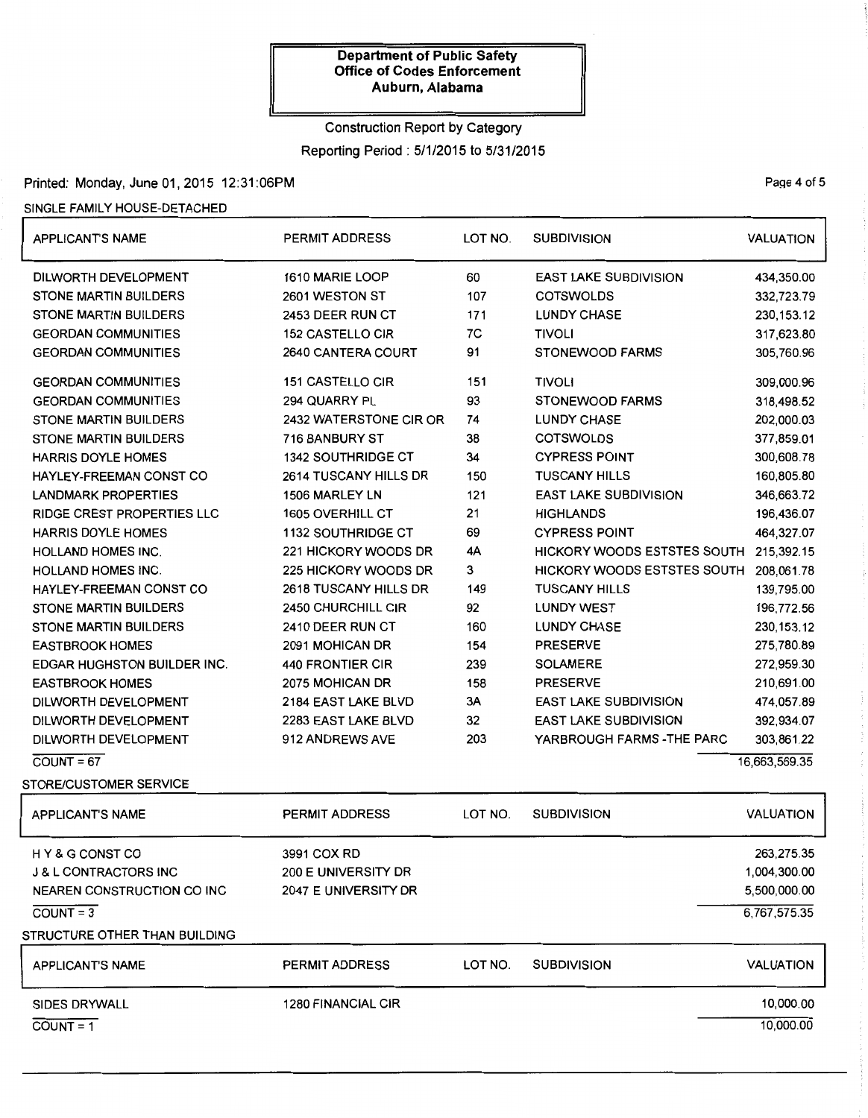# Construction Report by Category Reporting Period: 5/1/2015 to 5/31/2015

# Printed: Monday, June 01,2015 12:31:06PM

### SINGLE FAMILY HOUSE-DETACHED

| <b>APPLICANT'S NAME</b>            | PERMIT ADDRESS            | LOT NO. | <b>SUBDIVISION</b>           | <b>VALUATION</b> |
|------------------------------------|---------------------------|---------|------------------------------|------------------|
| DILWORTH DEVELOPMENT               | 1610 MARIE LOOP           | 60      | <b>EAST LAKE SUBDIVISION</b> | 434,350.00       |
| <b>STONE MARTIN BUILDERS</b>       | 2601 WESTON ST            | 107     | <b>COTSWOLDS</b>             | 332,723.79       |
| <b>STONE MARTIN BUILDERS</b>       | 2453 DEER RUN CT          | 171     | <b>LUNDY CHASE</b>           | 230, 153. 12     |
| <b>GEORDAN COMMUNITIES</b>         | <b>152 CASTELLO CIR</b>   | 7C      | <b>TIVOLI</b>                | 317,623.80       |
| <b>GEORDAN COMMUNITIES</b>         | 2640 CANTERA COURT        | 91      | <b>STONEWOOD FARMS</b>       | 305,760.96       |
| <b>GEORDAN COMMUNITIES</b>         | 151 CASTELLO CIR          | 151     | <b>TIVOLI</b>                | 309,000.96       |
| <b>GEORDAN COMMUNITIES</b>         | 294 QUARRY PL             | 93      | STONEWOOD FARMS              | 318,498.52       |
| <b>STONE MARTIN BUILDERS</b>       | 2432 WATERSTONE CIR OR    | 74      | <b>LUNDY CHASE</b>           | 202,000.03       |
| <b>STONE MARTIN BUILDERS</b>       | 716 BANBURY ST            | 38      | <b>COTSWOLDS</b>             | 377,859.01       |
| <b>HARRIS DOYLE HOMES</b>          | <b>1342 SOUTHRIDGE CT</b> | 34      | <b>CYPRESS POINT</b>         | 300,608.78       |
| HAYLEY-FREEMAN CONST CO            | 2614 TUSCANY HILLS DR     | 150     | <b>TUSCANY HILLS</b>         | 160,805.80       |
| <b>LANDMARK PROPERTIES</b>         | 1506 MARLEY LN            | 121     | <b>EAST LAKE SUBDIVISION</b> | 346,663.72       |
| RIDGE CREST PROPERTIES LLC         | 1605 OVERHILL CT          | 21      | <b>HIGHLANDS</b>             | 196,436.07       |
| HARRIS DOYLE HOMES                 | 1132 SOUTHRIDGE CT        | 69      | <b>CYPRESS POINT</b>         | 464,327.07       |
| HOLLAND HOMES INC.                 | 221 HICKORY WOODS DR      | 4A      | HICKORY WOODS ESTSTES SOUTH  | 215,392.15       |
| <b>HOLLAND HOMES INC.</b>          | 225 HICKORY WOODS DR      | 3       | HICKORY WOODS ESTSTES SOUTH  | 208,061.78       |
| HAYLEY-FREEMAN CONST CO            | 2618 TUSCANY HILLS DR     | 149     | <b>TUSCANY HILLS</b>         | 139,795.00       |
| <b>STONE MARTIN BUILDERS</b>       | 2450 CHURCHILL CIR        | 92      | <b>LUNDY WEST</b>            | 196,772.56       |
| <b>STONE MARTIN BUILDERS</b>       | 2410 DEER RUN CT          | 160     | <b>LUNDY CHASE</b>           | 230, 153. 12     |
| <b>EASTBROOK HOMES</b>             | 2091 MOHICAN DR           | 154     | <b>PRESERVE</b>              | 275,780.89       |
| <b>EDGAR HUGHSTON BUILDER INC.</b> | 440 FRONTIER CIR          | 239     | <b>SOLAMERE</b>              | 272,959.30       |
| <b>EASTBROOK HOMES</b>             | 2075 MOHICAN DR           | 158     | <b>PRESERVE</b>              | 210,691.00       |
| DILWORTH DEVELOPMENT               | 2184 EAST LAKE BLVD       | 3A      | <b>EAST LAKE SUBDIVISION</b> | 474,057.89       |
| DILWORTH DEVELOPMENT               | 2283 EAST LAKE BLVD       | 32      | <b>EAST LAKE SUBDIVISION</b> | 392,934.07       |
| DILWORTH DEVELOPMENT               | 912 ANDREWS AVE           | 203     | YARBROUGH FARMS - THE PARC   | 303,861.22       |
| $COUNT = 67$                       |                           |         |                              | 16,663,569.35    |
| STORE/CUSTOMER SERVICE             |                           |         |                              |                  |
| <b>APPLICANT'S NAME</b>            | <b>PERMIT ADDRESS</b>     | LOT NO. | <b>SUBDIVISION</b>           | <b>VALUATION</b> |
| HY&G CONST CO                      | 3991 COX RD               |         |                              | 263,275.35       |
| <b>J &amp; L CONTRACTORS INC</b>   | 200 E UNIVERSITY DR       |         |                              | 1,004,300.00     |
| <b>NEAREN CONSTRUCTION CO INC</b>  | 2047 E UNIVERSITY DR      |         |                              | 5,500,000.00     |
| $CQUNT = 3$                        |                           |         |                              | 6,767,575.35     |
| STRUCTURE OTHER THAN BUILDING      |                           |         |                              |                  |
| <b>APPLICANT'S NAME</b>            | <b>PERMIT ADDRESS</b>     | LOT NO. | <b>SUBDIVISION</b>           | <b>VALUATION</b> |
| <b>SIDES DRYWALL</b>               | <b>1280 FINANCIAL CIR</b> |         |                              | 10,000.00        |
| $\overline{COUNT} = 1$             |                           |         |                              | 10,000.00        |
|                                    |                           |         |                              |                  |

Page 4 of 5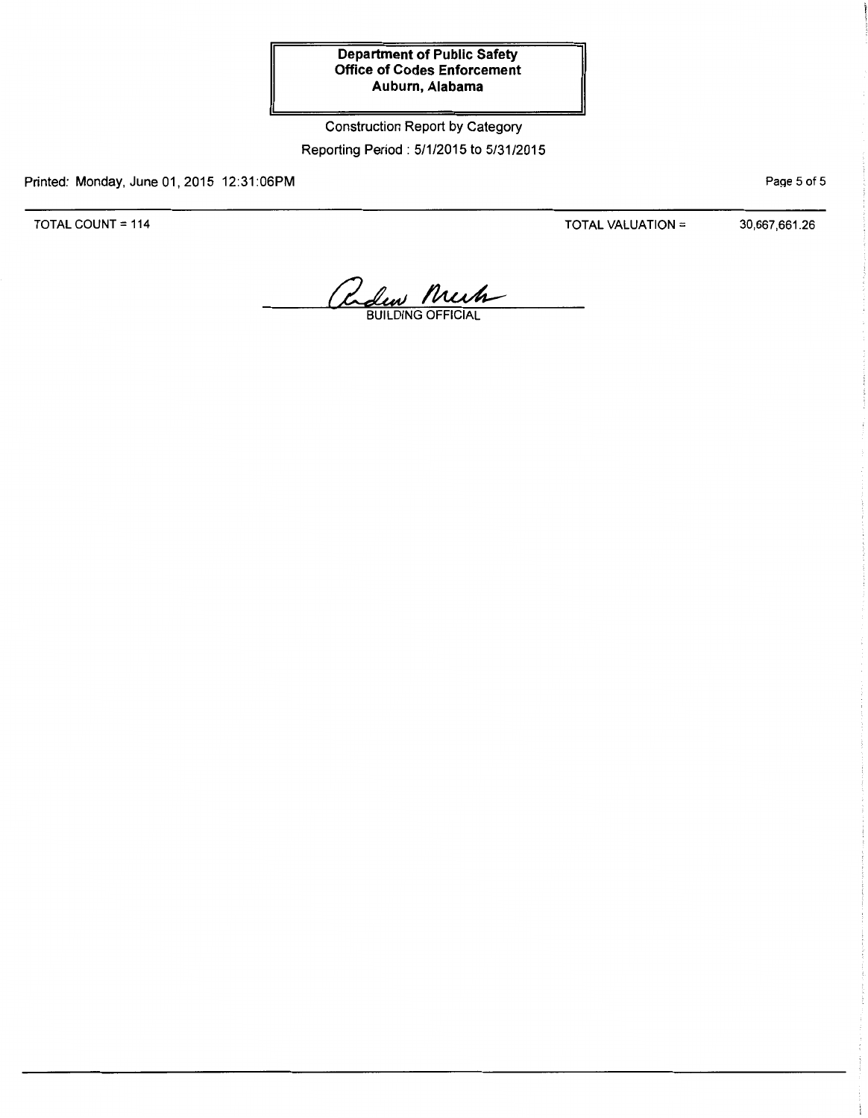# Construction Report by Category Reporting Period: 5/1/2015 to 5/31/2015

Printed: Monday, June 01,2015 12:31:06PM

TOTAL COUNT = 114

TOTAL VALUATION =  $30,667,661.26$ 

PaQe 5 of 5

Reden Much